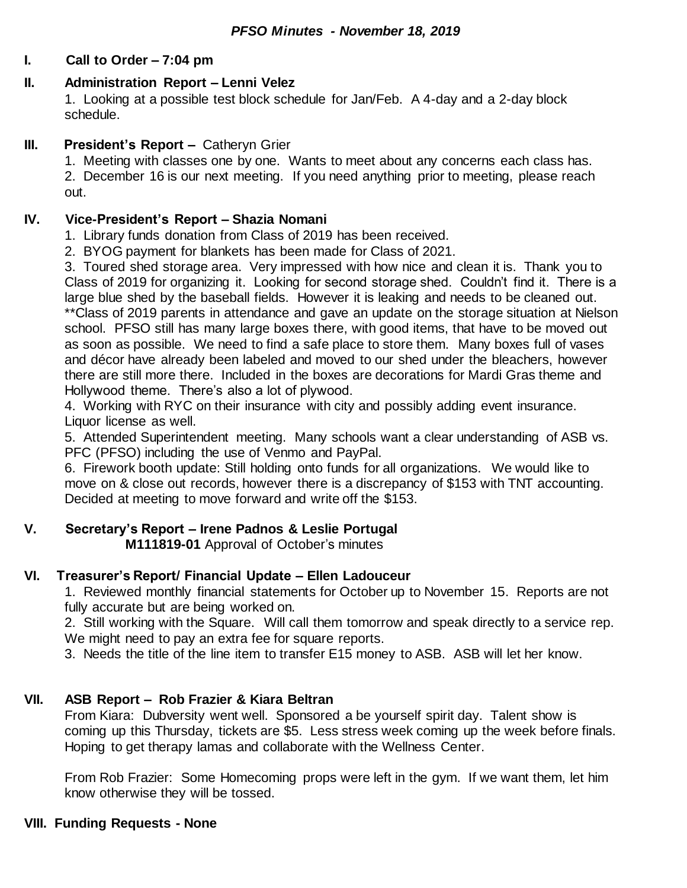## **I. Call to Order – 7:04 pm**

## **II. Administration Report – Lenni Velez**

1. Looking at a possible test block schedule for Jan/Feb. A 4-day and a 2-day block schedule.

## **III. President's Report –** Catheryn Grier

1. Meeting with classes one by one. Wants to meet about any concerns each class has.

2. December 16 is our next meeting. If you need anything prior to meeting, please reach out.

## **IV. Vice-President's Report – Shazia Nomani**

- 1. Library funds donation from Class of 2019 has been received.
- 2. BYOG payment for blankets has been made for Class of 2021.

3. Toured shed storage area. Very impressed with how nice and clean it is. Thank you to Class of 2019 for organizing it. Looking for second storage shed. Couldn't find it. There is a large blue shed by the baseball fields. However it is leaking and needs to be cleaned out. \*\*Class of 2019 parents in attendance and gave an update on the storage situation at Nielson school. PFSO still has many large boxes there, with good items, that have to be moved out as soon as possible. We need to find a safe place to store them. Many boxes full of vases and décor have already been labeled and moved to our shed under the bleachers, however there are still more there. Included in the boxes are decorations for Mardi Gras theme and Hollywood theme. There's also a lot of plywood.

4. Working with RYC on their insurance with city and possibly adding event insurance. Liquor license as well.

5. Attended Superintendent meeting. Many schools want a clear understanding of ASB vs. PFC (PFSO) including the use of Venmo and PayPal.

6. Firework booth update: Still holding onto funds for all organizations. We would like to move on & close out records, however there is a discrepancy of \$153 with TNT accounting. Decided at meeting to move forward and write off the \$153.

# **V. Secretary's Report – Irene Padnos & Leslie Portugal**

**M111819-01** Approval of October's minutes

# **VI. Treasurer's Report/ Financial Update – Ellen Ladouceur**

1. Reviewed monthly financial statements for October up to November 15. Reports are not fully accurate but are being worked on.

2. Still working with the Square. Will call them tomorrow and speak directly to a service rep. We might need to pay an extra fee for square reports.

3. Needs the title of the line item to transfer E15 money to ASB. ASB will let her know.

# **VII. ASB Report – Rob Frazier & Kiara Beltran**

From Kiara: Dubversity went well. Sponsored a be yourself spirit day. Talent show is coming up this Thursday, tickets are \$5. Less stress week coming up the week before finals. Hoping to get therapy lamas and collaborate with the Wellness Center.

From Rob Frazier: Some Homecoming props were left in the gym. If we want them, let him know otherwise they will be tossed.

#### **VIII. Funding Requests - None**